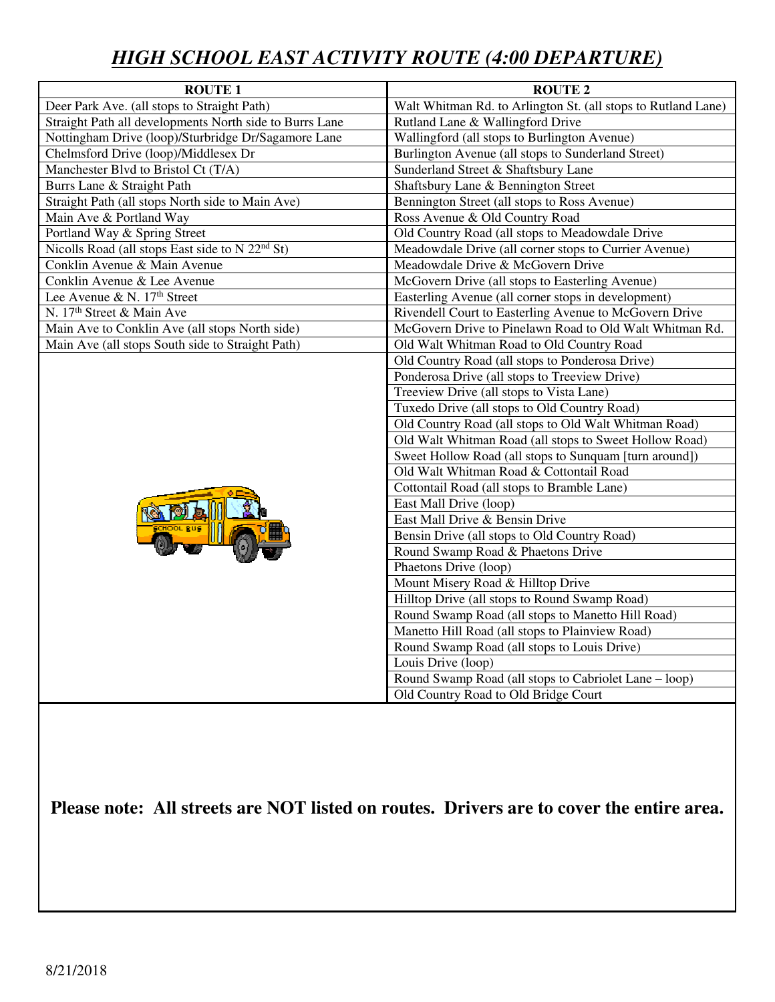# *HIGH SCHOOL EAST ACTIVITY ROUTE (4:00 DEPARTURE)*

| <b>ROUTE 1</b>                                                   | <b>ROUTE 2</b>                                                |
|------------------------------------------------------------------|---------------------------------------------------------------|
| Deer Park Ave. (all stops to Straight Path)                      | Walt Whitman Rd. to Arlington St. (all stops to Rutland Lane) |
| Straight Path all developments North side to Burrs Lane          | Rutland Lane & Wallingford Drive                              |
| Nottingham Drive (loop)/Sturbridge Dr/Sagamore Lane              | Wallingford (all stops to Burlington Avenue)                  |
| Chelmsford Drive (loop)/Middlesex Dr                             | Burlington Avenue (all stops to Sunderland Street)            |
| Manchester Blvd to Bristol Ct (T/A)                              | Sunderland Street & Shaftsbury Lane                           |
| Burrs Lane & Straight Path                                       | Shaftsbury Lane & Bennington Street                           |
| Straight Path (all stops North side to Main Ave)                 | Bennington Street (all stops to Ross Avenue)                  |
| Main Ave & Portland Way                                          | Ross Avenue & Old Country Road                                |
| Portland Way & Spring Street                                     | Old Country Road (all stops to Meadowdale Drive               |
| Nicolls Road (all stops East side to $\overline{N 22^{nd} St}$ ) | Meadowdale Drive (all corner stops to Currier Avenue)         |
| Conklin Avenue & Main Avenue                                     | Meadowdale Drive & McGovern Drive                             |
| Conklin Avenue & Lee Avenue                                      | McGovern Drive (all stops to Easterling Avenue)               |
| Lee Avenue & N. 17th Street                                      | Easterling Avenue (all corner stops in development)           |
| N. 17 <sup>th</sup> Street & Main Ave                            | Rivendell Court to Easterling Avenue to McGovern Drive        |
| Main Ave to Conklin Ave (all stops North side)                   | McGovern Drive to Pinelawn Road to Old Walt Whitman Rd.       |
| Main Ave (all stops South side to Straight Path)                 | Old Walt Whitman Road to Old Country Road                     |
|                                                                  | Old Country Road (all stops to Ponderosa Drive)               |
|                                                                  | Ponderosa Drive (all stops to Treeview Drive)                 |
|                                                                  | Treeview Drive (all stops to Vista Lane)                      |
|                                                                  | Tuxedo Drive (all stops to Old Country Road)                  |
|                                                                  | Old Country Road (all stops to Old Walt Whitman Road)         |
|                                                                  | Old Walt Whitman Road (all stops to Sweet Hollow Road)        |
|                                                                  | Sweet Hollow Road (all stops to Sunquam [turn around])        |
|                                                                  | Old Walt Whitman Road & Cottontail Road                       |
|                                                                  | Cottontail Road (all stops to Bramble Lane)                   |
|                                                                  | East Mall Drive (loop)                                        |
|                                                                  | East Mall Drive & Bensin Drive                                |
|                                                                  | Bensin Drive (all stops to Old Country Road)                  |
|                                                                  | Round Swamp Road & Phaetons Drive                             |
|                                                                  | Phaetons Drive (loop)                                         |
|                                                                  | Mount Misery Road & Hilltop Drive                             |
|                                                                  | Hilltop Drive (all stops to Round Swamp Road)                 |
|                                                                  | Round Swamp Road (all stops to Manetto Hill Road)             |
|                                                                  | Manetto Hill Road (all stops to Plainview Road)               |
|                                                                  | Round Swamp Road (all stops to Louis Drive)                   |
|                                                                  | Louis Drive (loop)                                            |
|                                                                  | Round Swamp Road (all stops to Cabriolet Lane – loop)         |
|                                                                  | Old Country Road to Old Bridge Court                          |

**Please note: All streets are NOT listed on routes. Drivers are to cover the entire area.**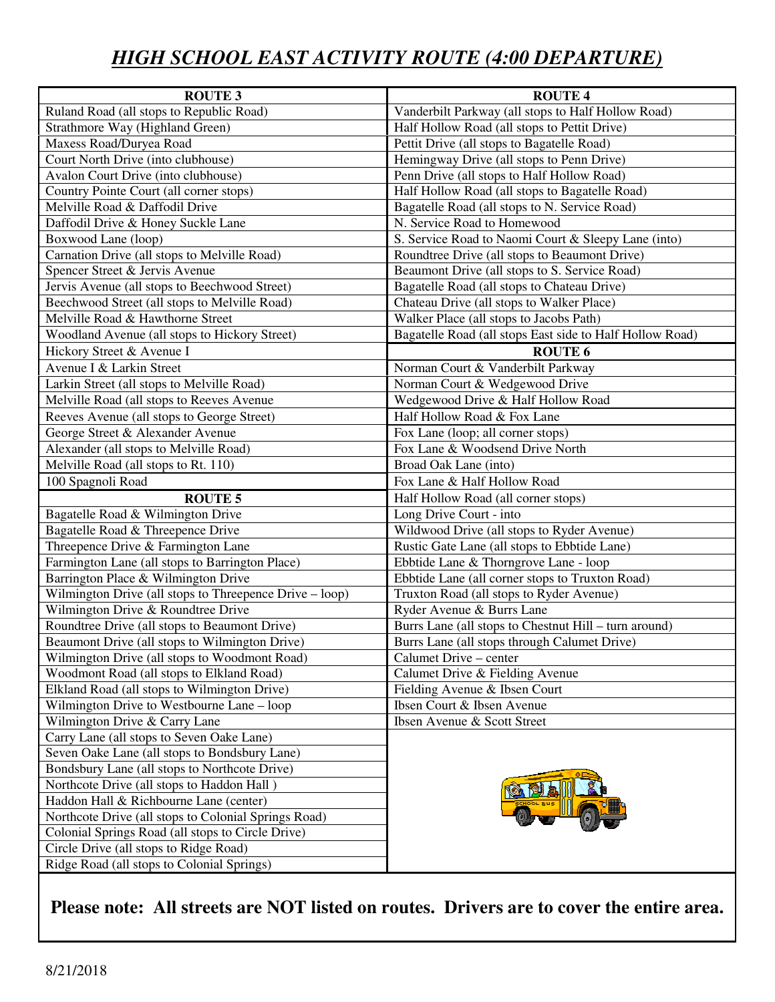# *HIGH SCHOOL EAST ACTIVITY ROUTE (4:00 DEPARTURE)*

| <b>ROUTE 3</b>                                          | <b>ROUTE 4</b>                                           |
|---------------------------------------------------------|----------------------------------------------------------|
| Ruland Road (all stops to Republic Road)                | Vanderbilt Parkway (all stops to Half Hollow Road)       |
| Strathmore Way (Highland Green)                         | Half Hollow Road (all stops to Pettit Drive)             |
| Maxess Road/Duryea Road                                 | Pettit Drive (all stops to Bagatelle Road)               |
| Court North Drive (into clubhouse)                      | Hemingway Drive (all stops to Penn Drive)                |
| <b>Avalon Court Drive (into clubhouse)</b>              | Penn Drive (all stops to Half Hollow Road)               |
| Country Pointe Court (all corner stops)                 | Half Hollow Road (all stops to Bagatelle Road)           |
| Melville Road & Daffodil Drive                          | Bagatelle Road (all stops to N. Service Road)            |
| Daffodil Drive & Honey Suckle Lane                      | N. Service Road to Homewood                              |
| Boxwood Lane (loop)                                     | S. Service Road to Naomi Court & Sleepy Lane (into)      |
| Carnation Drive (all stops to Melville Road)            | Roundtree Drive (all stops to Beaumont Drive)            |
| Spencer Street & Jervis Avenue                          | Beaumont Drive (all stops to S. Service Road)            |
| Jervis Avenue (all stops to Beechwood Street)           | Bagatelle Road (all stops to Chateau Drive)              |
| Beechwood Street (all stops to Melville Road)           | Chateau Drive (all stops to Walker Place)                |
| Melville Road & Hawthorne Street                        | Walker Place (all stops to Jacobs Path)                  |
| Woodland Avenue (all stops to Hickory Street)           | Bagatelle Road (all stops East side to Half Hollow Road) |
| Hickory Street & Avenue I                               | <b>ROUTE 6</b>                                           |
| Avenue I & Larkin Street                                | Norman Court & Vanderbilt Parkway                        |
| Larkin Street (all stops to Melville Road)              | Norman Court & Wedgewood Drive                           |
| Melville Road (all stops to Reeves Avenue               | Wedgewood Drive & Half Hollow Road                       |
| Reeves Avenue (all stops to George Street)              | Half Hollow Road & Fox Lane                              |
| George Street & Alexander Avenue                        | Fox Lane (loop; all corner stops)                        |
| Alexander (all stops to Melville Road)                  | Fox Lane & Woodsend Drive North                          |
| Melville Road (all stops to Rt. 110)                    | Broad Oak Lane (into)                                    |
| 100 Spagnoli Road                                       | Fox Lane & Half Hollow Road                              |
| <b>ROUTE 5</b>                                          | Half Hollow Road (all corner stops)                      |
| Bagatelle Road & Wilmington Drive                       | Long Drive Court - into                                  |
| Bagatelle Road & Threepence Drive                       | Wildwood Drive (all stops to Ryder Avenue)               |
| Threepence Drive & Farmington Lane                      | Rustic Gate Lane (all stops to Ebbtide Lane)             |
| Farmington Lane (all stops to Barrington Place)         | Ebbtide Lane & Thorngrove Lane - loop                    |
| Barrington Place & Wilmington Drive                     | Ebbtide Lane (all corner stops to Truxton Road)          |
| Wilmington Drive (all stops to Threepence Drive - loop) | Truxton Road (all stops to Ryder Avenue)                 |
| Wilmington Drive & Roundtree Drive                      | Ryder Avenue & Burrs Lane                                |
| Roundtree Drive (all stops to Beaumont Drive)           | Burrs Lane (all stops to Chestnut Hill - turn around)    |
| Beaumont Drive (all stops to Wilmington Drive)          | Burrs Lane (all stops through Calumet Drive)             |
| Wilmington Drive (all stops to Woodmont Road)           | Calumet Drive - center                                   |
| Woodmont Road (all stops to Elkland Road)               | Calumet Drive & Fielding Avenue                          |
| Elkland Road (all stops to Wilmington Drive)            | Fielding Avenue & Ibsen Court                            |
| Wilmington Drive to Westbourne Lane – loop              | Ibsen Court & Ibsen Avenue                               |
| Wilmington Drive & Carry Lane                           | Ibsen Avenue & Scott Street                              |
| Carry Lane (all stops to Seven Oake Lane)               |                                                          |
| Seven Oake Lane (all stops to Bondsbury Lane)           |                                                          |
| Bondsbury Lane (all stops to Northcote Drive)           |                                                          |
| Northcote Drive (all stops to Haddon Hall)              |                                                          |
| Haddon Hall & Richbourne Lane (center)                  |                                                          |
| Northcote Drive (all stops to Colonial Springs Road)    |                                                          |
| Colonial Springs Road (all stops to Circle Drive)       |                                                          |
| Circle Drive (all stops to Ridge Road)                  |                                                          |
| Ridge Road (all stops to Colonial Springs)              |                                                          |

#### **Please note: All streets are NOT listed on routes. Drivers are to cover the entire area.**